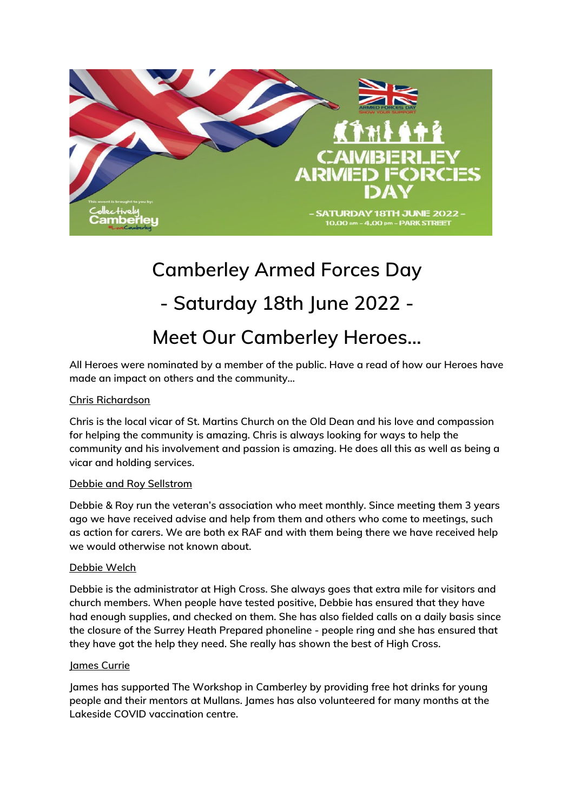

# **Camberley Armed Forces Day - Saturday 18th June 2022 - Meet Our Camberley Heroes…**

**All Heroes were nominated by a member of the public. Have a read of how our Heroes have made an impact on others and the community…** 

# **Chris Richardson**

**Chris is the local vicar of St. Martins Church on the Old Dean and his love and compassion for helping the community is amazing. Chris is always looking for ways to help the community and his involvement and passion is amazing. He does all this as well as being a vicar and holding services.**

# **Debbie and Roy Sellstrom**

**Debbie & Roy run the veteran's association who meet monthly. Since meeting them 3 years ago we have received advise and help from them and others who come to meetings, such as action for carers. We are both ex RAF and with them being there we have received help we would otherwise not known about.** 

# **Debbie Welch**

**Debbie is the administrator at High Cross. She always goes that extra mile for visitors and church members. When people have tested positive, Debbie has ensured that they have had enough supplies, and checked on them. She has also fielded calls on a daily basis since the closure of the Surrey Heath Prepared phoneline - people ring and she has ensured that they have got the help they need. She really has shown the best of High Cross.**

#### **James Currie**

**James has supported The Workshop in Camberley by providing free hot drinks for young people and their mentors at Mullans. James has also volunteered for many months at the Lakeside COVID vaccination centre.**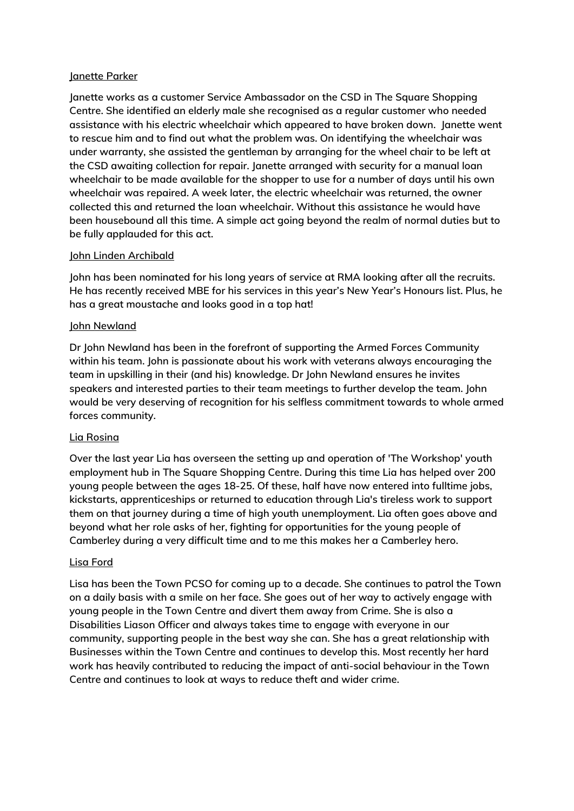## **Janette Parker**

**Janette works as a customer Service Ambassador on the CSD in The Square Shopping Centre. She identified an elderly male she recognised as a regular customer who needed assistance with his electric wheelchair which appeared to have broken down. Janette went to rescue him and to find out what the problem was. On identifying the wheelchair was under warranty, she assisted the gentleman by arranging for the wheel chair to be left at the CSD awaiting collection for repair. Janette arranged with security for a manual loan wheelchair to be made available for the shopper to use for a number of days until his own wheelchair was repaired. A week later, the electric wheelchair was returned, the owner collected this and returned the loan wheelchair. Without this assistance he would have been housebound all this time. A simple act going beyond the realm of normal duties but to be fully applauded for this act.**

## **John Linden Archibald**

**John has been nominated for his long years of service at RMA looking after all the recruits. He has recently received MBE for his services in this year's New Year's Honours list. Plus, he has a great moustache and looks good in a top hat!**

## **John Newland**

**Dr John Newland has been in the forefront of supporting the Armed Forces Community within his team. John is passionate about his work with veterans always encouraging the team in upskilling in their (and his) knowledge. Dr John Newland ensures he invites speakers and interested parties to their team meetings to further develop the team. John would be very deserving of recognition for his selfless commitment towards to whole armed forces community.**

# **Lia Rosina**

**Over the last year Lia has overseen the setting up and operation of 'The Workshop' youth employment hub in The Square Shopping Centre. During this time Lia has helped over 200 young people between the ages 18-25. Of these, half have now entered into fulltime jobs, kickstarts, apprenticeships or returned to education through Lia's tireless work to support them on that journey during a time of high youth unemployment. Lia often goes above and beyond what her role asks of her, fighting for opportunities for the young people of Camberley during a very difficult time and to me this makes her a Camberley hero.**

#### **Lisa Ford**

**Lisa has been the Town PCSO for coming up to a decade. She continues to patrol the Town on a daily basis with a smile on her face. She goes out of her way to actively engage with young people in the Town Centre and divert them away from Crime. She is also a Disabilities Liason Officer and always takes time to engage with everyone in our community, supporting people in the best way she can. She has a great relationship with Businesses within the Town Centre and continues to develop this. Most recently her hard work has heavily contributed to reducing the impact of anti-social behaviour in the Town Centre and continues to look at ways to reduce theft and wider crime.**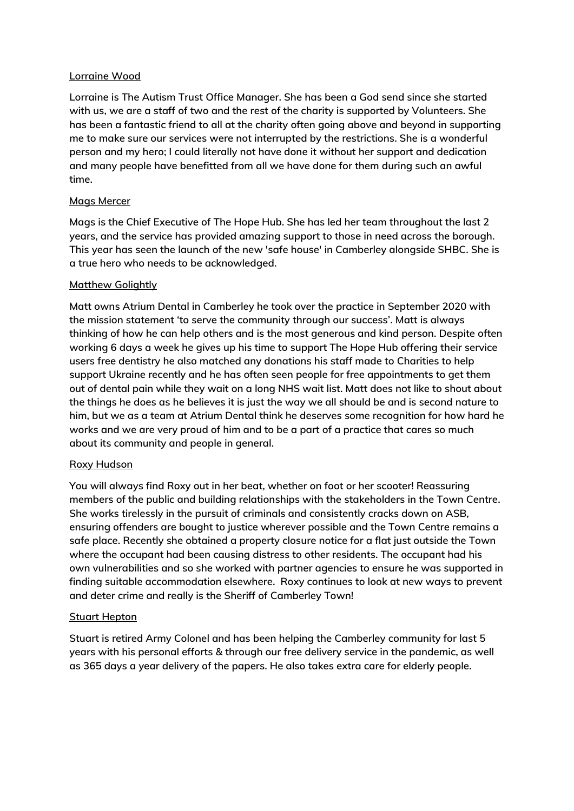## **Lorraine Wood**

**Lorraine is The Autism Trust Office Manager. She has been a God send since she started with us, we are a staff of two and the rest of the charity is supported by Volunteers. She has been a fantastic friend to all at the charity often going above and beyond in supporting me to make sure our services were not interrupted by the restrictions. She is a wonderful person and my hero; I could literally not have done it without her support and dedication and many people have benefitted from all we have done for them during such an awful time.**

## **Mags Mercer**

**Mags is the Chief Executive of The Hope Hub. She has led her team throughout the last 2 years, and the service has provided amazing support to those in need across the borough. This year has seen the launch of the new 'safe house' in Camberley alongside SHBC. She is a true hero who needs to be acknowledged.**

# **Matthew Golightly**

**Matt owns Atrium Dental in Camberley he took over the practice in September 2020 with the mission statement 'to serve the community through our success'. Matt is always thinking of how he can help others and is the most generous and kind person. Despite often working 6 days a week he gives up his time to support The Hope Hub offering their service users free dentistry he also matched any donations his staff made to Charities to help support Ukraine recently and he has often seen people for free appointments to get them out of dental pain while they wait on a long NHS wait list. Matt does not like to shout about the things he does as he believes it is just the way we all should be and is second nature to him, but we as a team at Atrium Dental think he deserves some recognition for how hard he works and we are very proud of him and to be a part of a practice that cares so much about its community and people in general.**

#### **Roxy Hudson**

**You will always find Roxy out in her beat, whether on foot or her scooter! Reassuring members of the public and building relationships with the stakeholders in the Town Centre. She works tirelessly in the pursuit of criminals and consistently cracks down on ASB, ensuring offenders are bought to justice wherever possible and the Town Centre remains a safe place. Recently she obtained a property closure notice for a flat just outside the Town where the occupant had been causing distress to other residents. The occupant had his own vulnerabilities and so she worked with partner agencies to ensure he was supported in finding suitable accommodation elsewhere. Roxy continues to look at new ways to prevent and deter crime and really is the Sheriff of Camberley Town!**

#### **Stuart Hepton**

**Stuart is retired Army Colonel and has been helping the Camberley community for last 5 years with his personal efforts & through our free delivery service in the pandemic, as well as 365 days a year delivery of the papers. He also takes extra care for elderly people.**